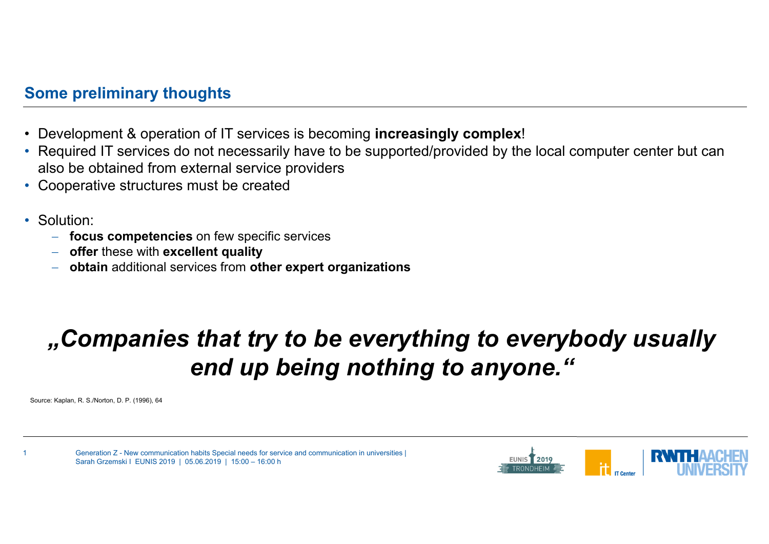### **Some preliminary thoughts**

- •Development & operation of IT services is becoming **increasingly complex**!
- • Required IT services do not necessarily have to be supported/provided by the local computer center but can also be obtained from external service providers
- •Cooperative structures must be created
- Solution:
	- **focus competencies** on few specific services
	- **offer** these with **excellent quality**
	- **obtain** additional services from **other expert organizations**

# *"Companies that try to be everything to everybody usually end up being nothing to anyone."*

Source: Kaplan, R. S./Norton, D. P. (1996), 64



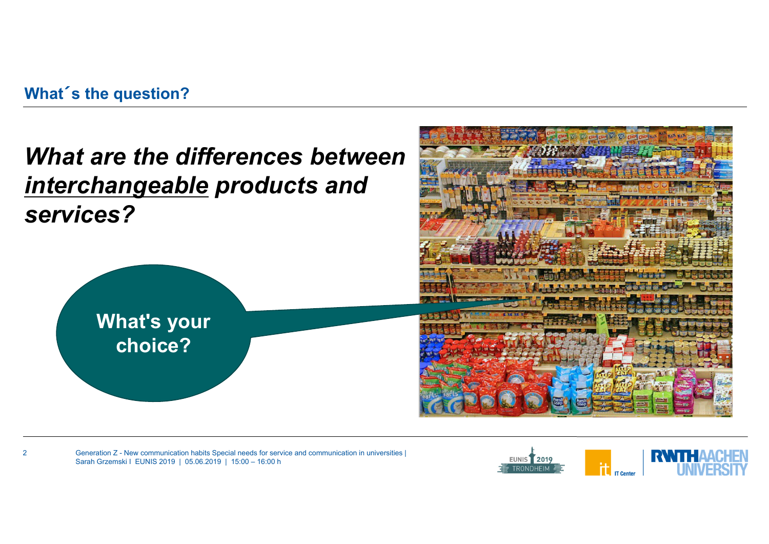## **What**´**<sup>s</sup> the question?**

## *What are the differences between interchangeable products and services?*



2



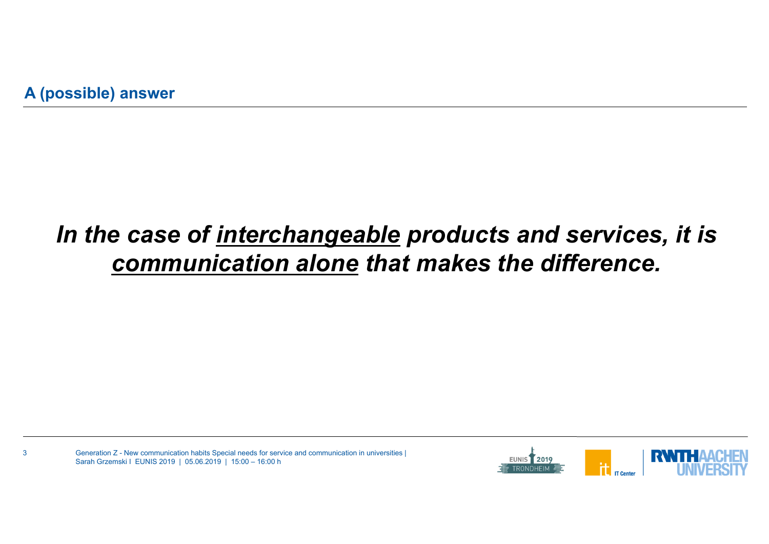3

# *In the case of interchangeable products and services, it is communication alone that makes the difference.*

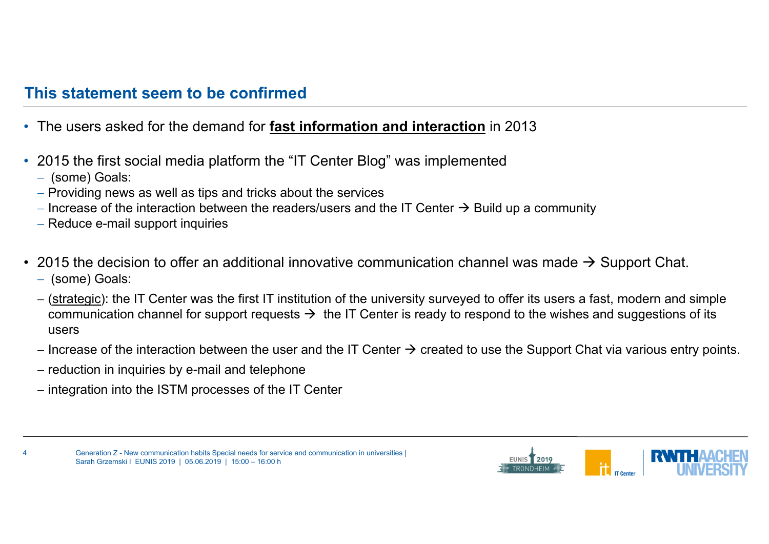#### **This statement seem to be confirmed**

- The users asked for the demand for **fast information and interaction** in 2013
- $\bullet$  2015 the first social media platform the "IT Center Blog" was implemented
	- (some) Goals:

4

- $\hspace{0.1mm}-$  Providing news as well as tips and tricks about the services
- Increase of the interaction between the readers/users and the IT Center  $\rightarrow$  Build up a community
- Reduce e-mail support inquiries
- 2015 the decision to offer an additional innovative communication channel was made  $\rightarrow$  Support Chat. (some) Goals:
	- (<u>strategic</u>): the IT Center was the first IT institution of the university surveyed to offer its users a fast, modern and simple communication channel for support requests  $\rightarrow$  the IT Center is ready to respond to the wishes and suggestions of its users
	- Increase of the interaction between the user and the IT Center  $\bm{\rightarrow}$  created to use the Support Chat via various entry points.
	- reduction in inquiries by e-mail and telephone
	- $\hbox{--}$  integration into the ISTM processes of the IT Center



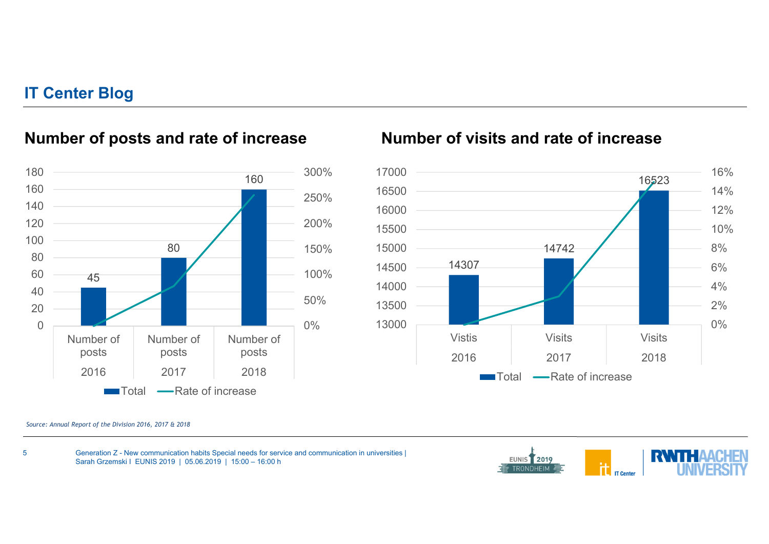#### **IT Center Blog**



### **Number of posts and rate of increase**

#### **Number of visits and rate of increase**



*Source: Annual Report of the Division 2016, 2017 & 2018*

5

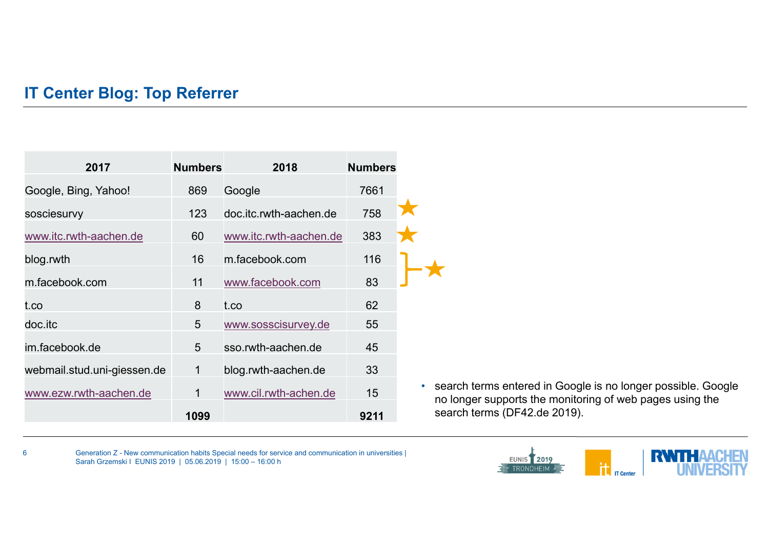### **IT Center Blog: Top Referrer**

6

| 2017                        | <b>Numbers</b> | 2018                   | <b>Numbers</b> |  |
|-----------------------------|----------------|------------------------|----------------|--|
| Google, Bing, Yahoo!        | 869            | Google                 | 7661           |  |
| sosciesurvy                 | 123            | doc.itc.rwth-aachen.de | 758            |  |
| www.itc.rwth-aachen.de      | 60             | www.itc.rwth-aachen.de | 383            |  |
| blog.rwth                   | 16             | m.facebook.com         | 116            |  |
| m.facebook.com              | 11             | www.facebook.com       | 83             |  |
| t.co                        | 8              | t.co                   | 62             |  |
| doc.itc                     | 5              | www.sosscisurvey.de    | 55             |  |
| im.facebook.de              | 5              | sso.rwth-aachen.de     | 45             |  |
| webmail.stud.uni-giessen.de | 1              | blog.rwth-aachen.de    | 33             |  |
| www.ezw.rwth-aachen.de      | $\mathbf 1$    | www.cil.rwth-achen.de  | 15             |  |
|                             | 1099           |                        | 9211           |  |

• search terms entered in Google is no longer possible. Google no longer supports the monitoring of web pages using the search terms (DF42.de 2019).

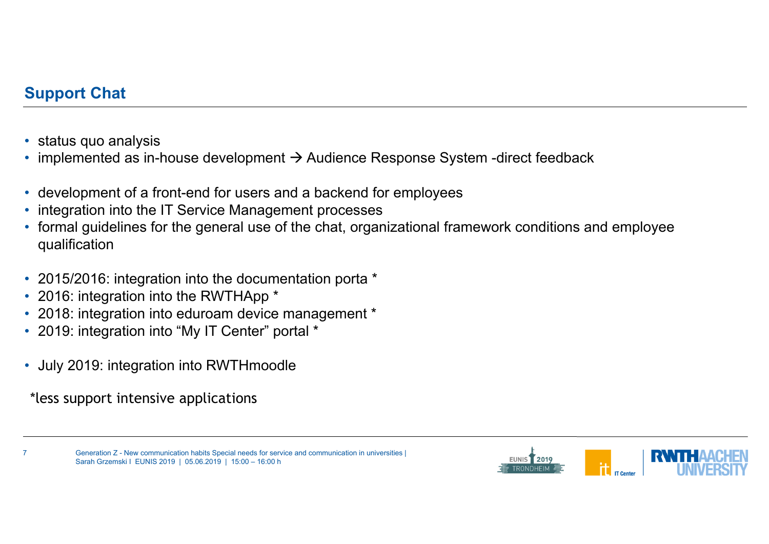### **Support Chat**

- $\bullet$ status quo analysis
- $\bullet$ implemented as in-house development  $\rightarrow$  Audience Response System -direct feedback
- •development of a front-end for users and a backend for employees
- •integration into the IT Service Management processes
- • formal guidelines for the general use of the chat, organizational framework conditions and employee qualification
- 2015/2016: integration into the documentation porta \*
- 2016: integration into the RWTHApp \*
- 2018: integration into eduroam device management \*
- 2019: integration into "My IT Center" portal \*
- July 2019: integration into RWTHmoodle

\*less support intensive applications

7

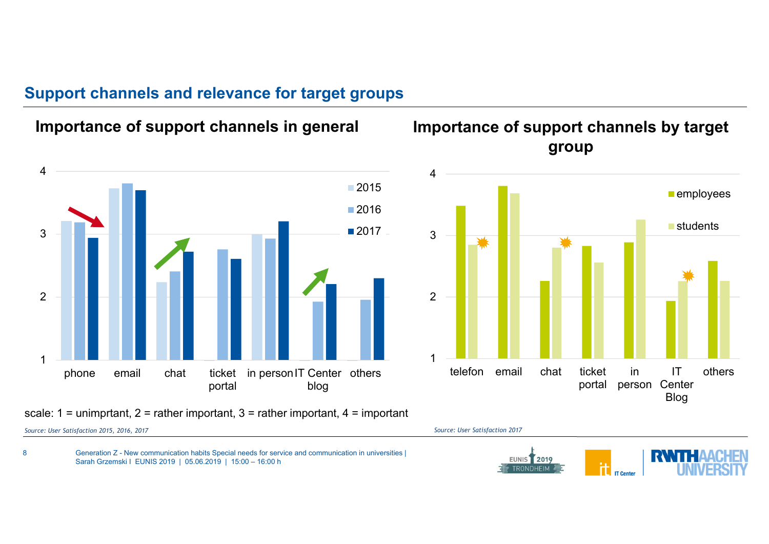#### **Support channels and relevance for target groups**



*Source: User Satisfaction 2015, 2016, 2017*

8

*Source: User Satisfaction 2017*

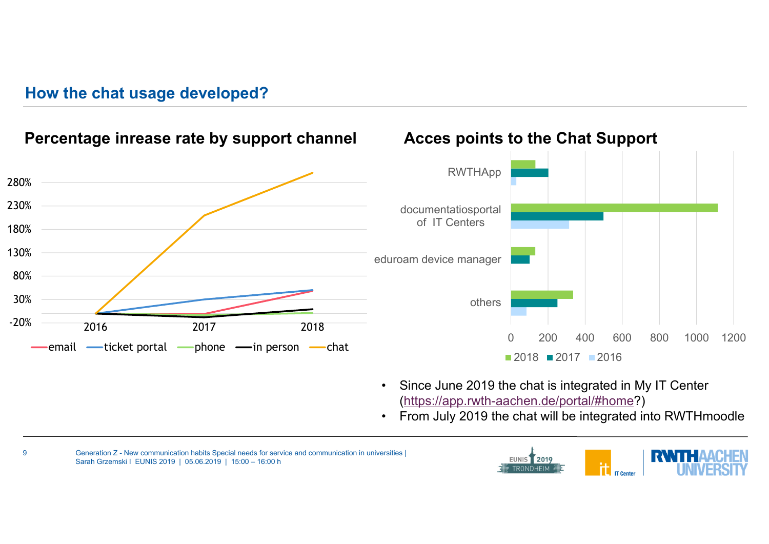#### **How the chat usage developed?**



**Percentage inrease rate by support channel**

### **Acces points to the Chat Support**



- $\bullet$  Since June 2019 the chat is integrated in My IT Center (https://app.rwth-aachen.de/portal/#home?)
- $\bullet$ From July 2019 the chat will be integrated into RWTHmoodle



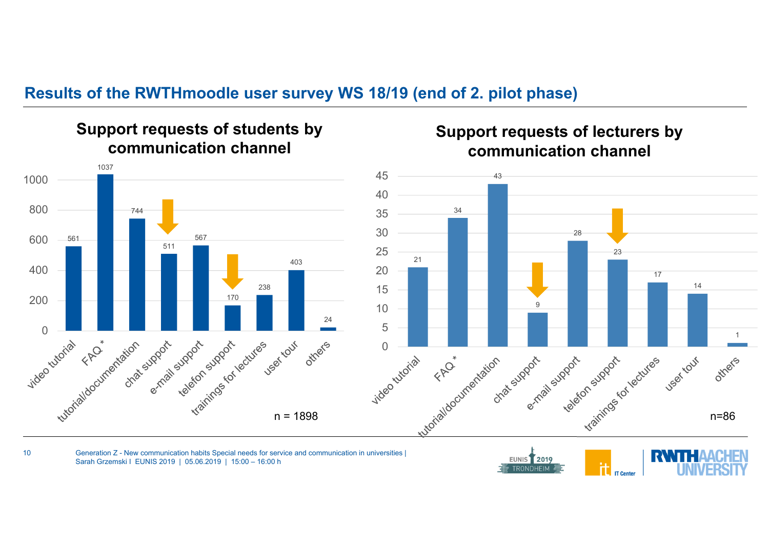#### **Results of the RWTHmoodle user survey WS 18/19 (end of 2. pilot phase)**



**Support requests of students by** 

#### **Support requests of lecturers by communication channel**



Generation Z - New communication habits Special needs for service and communication in universities | Sarah Grzemski I EUNIS 2019 | 05.06.2019 | 15:00 – 16:00 h

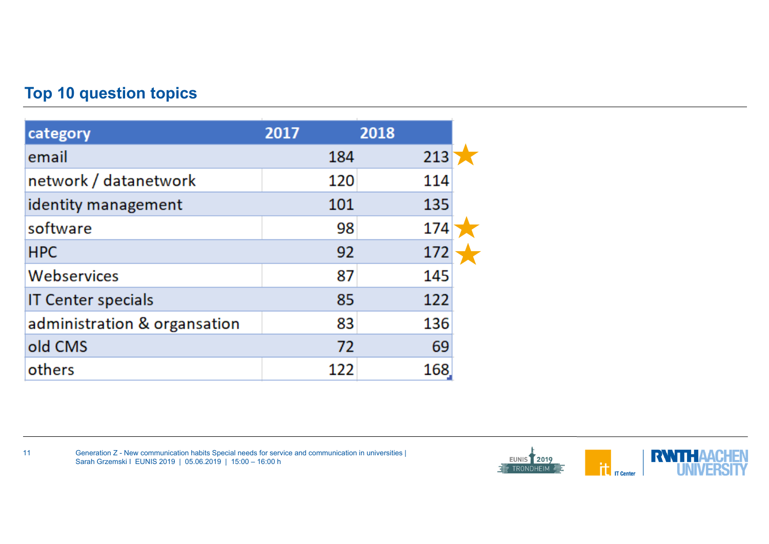## **Top 10 question topics**

11

| category                     | 2017 | 2018 |  |
|------------------------------|------|------|--|
| email                        | 184  | 213  |  |
| network / datanetwork        | 120  | 114  |  |
| identity management          | 101  | 135  |  |
| software                     | 98   | 174  |  |
| <b>HPC</b>                   | 92   | 172  |  |
| Webservices                  | 87   | 145  |  |
| <b>IT Center specials</b>    | 85   | 122  |  |
| administration & organsation | 83   | 136  |  |
| old CMS                      | 72   | 69   |  |
| others                       | 122  | 168  |  |